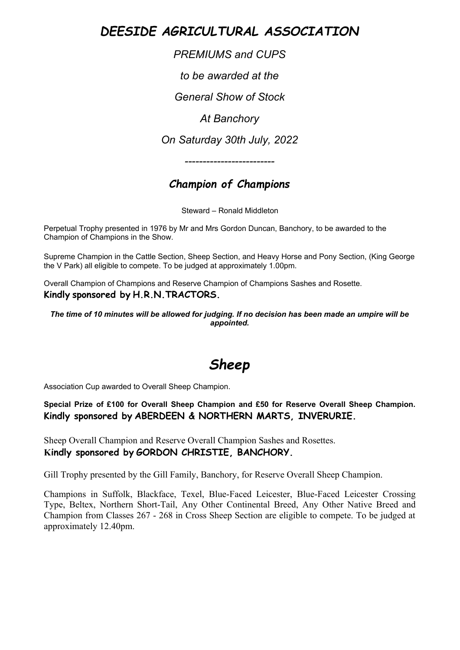*DEESIDE AGRICULTURAL ASSOCIATION*

*PREMIUMS and CUPS*

*to be awarded at the*

*General Show of Stock*

*At Banchory*

*On Saturday 30th July, 2022*

*-------------------------*

## *Champion of Champions*

Steward – Ronald Middleton

Perpetual Trophy presented in 1976 by Mr and Mrs Gordon Duncan, Banchory, to be awarded to the Champion of Champions in the Show.

Supreme Champion in the Cattle Section, Sheep Section, and Heavy Horse and Pony Section, (King George the V Park) all eligible to compete. To be judged at approximately 1.00pm.

Overall Champion of Champions and Reserve Champion of Champions Sashes and Rosette. **Kindly sponsored by H.R.N.TRACTORS.**

*The time of 10 minutes will be allowed for judging. If no decision has been made an umpire will be appointed.*

## *Sheep*

Association Cup awarded to Overall Sheep Champion.

**Special Prize of £100 for Overall Sheep Champion and £50 for Reserve Overall Sheep Champion. Kindly sponsored by ABERDEEN & NORTHERN MARTS, INVERURIE.**

Sheep Overall Champion and Reserve Overall Champion Sashes and Rosettes. **Kindly sponsored by GORDON CHRISTIE, BANCHORY.**

Gill Trophy presented by the Gill Family, Banchory, for Reserve Overall Sheep Champion.

Champions in Suffolk, Blackface, Texel, Blue-Faced Leicester, Blue-Faced Leicester Crossing Type, Beltex, Northern Short-Tail, Any Other Continental Breed, Any Other Native Breed and Champion from Classes 267 - 268 in Cross Sheep Section are eligible to compete. To be judged at approximately 12.40pm.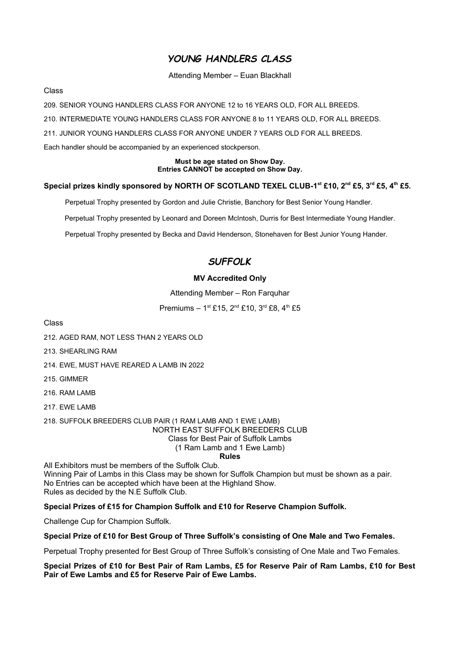## *YOUNG HANDLERS CLASS*

#### Attending Member – Euan Blackhall

Class

209. SENIOR YOUNG HANDLERS CLASS FOR ANYONE 12 to 16 YEARS OLD, FOR ALL BREEDS.

210. INTERMEDIATE YOUNG HANDLERS CLASS FOR ANYONE 8 to 11 YEARS OLD, FOR ALL BREEDS.

211. JUNIOR YOUNG HANDLERS CLASS FOR ANYONE UNDER 7 YEARS OLD FOR ALL BREEDS.

Each handler should be accompanied by an experienced stockperson.

#### **Must be age stated on Show Day. Entries CANNOT be accepted on Show Day.**

#### **Special prizes kindly sponsored by NORTH OF SCOTLAND TEXEL CLUB-1st £10, 2nd £5, 3rd £5, 4th £5.**

Perpetual Trophy presented by Gordon and Julie Christie, Banchory for Best Senior Young Handler.

Perpetual Trophy presented by Leonard and Doreen McIntosh, Durris for Best Intermediate Young Handler.

Perpetual Trophy presented by Becka and David Henderson, Stonehaven for Best Junior Young Hander.

## *SUFFOLK*

#### **MV Accredited Only**

Attending Member – Ron Farquhar

Premiums –  $1^{st}$  £15,  $2^{nd}$  £10,  $3^{rd}$  £8,  $4^{th}$  £5

Class

212. AGED RAM, NOT LESS THAN 2 YEARS OLD

213. SHEARLING RAM

214. EWE, MUST HAVE REARED A LAMB IN 2022

215. GIMMER

216. RAM LAMB

217. EWE LAMB

218. SUFFOLK BREEDERS CLUB PAIR (1 RAM LAMB AND 1 EWE LAMB) NORTH EAST SUFFOLK BREEDERS CLUB Class for Best Pair of Suffolk Lambs (1 Ram Lamb and 1 Ewe Lamb)

**Rules**

All Exhibitors must be members of the Suffolk Club. Winning Pair of Lambs in this Class may be shown for Suffolk Champion but must be shown as a pair. No Entries can be accepted which have been at the Highland Show. Rules as decided by the N.E Suffolk Club.

**Special Prizes of £15 for Champion Suffolk and £10 for Reserve Champion Suffolk.**

Challenge Cup for Champion Suffolk.

**Special Prize of £10 for Best Group of Three Suffolk's consisting of One Male and Two Females.**

Perpetual Trophy presented for Best Group of Three Suffolk's consisting of One Male and Two Females.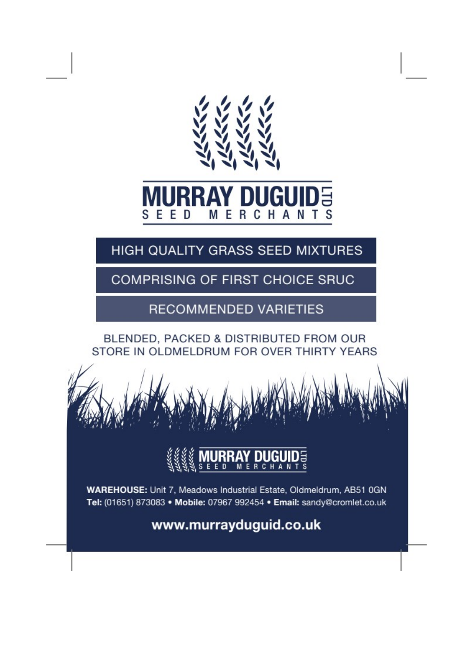

# **MERCHANTS** SEED

# HIGH QUALITY GRASS SEED MIXTURES

**COMPRISING OF FIRST CHOICE SRUC** 

**RECOMMENDED VARIETIES** 

## BLENDED, PACKED & DISTRIBUTED FROM OUR STORE IN OLDMELDRUM FOR OVER THIRTY YEARS





WAREHOUSE: Unit 7, Meadows Industrial Estate, Oldmeldrum, AB51 0GN Tel: (01651) 873083 • Mobile: 07967 992454 • Email: sandy@cromlet.co.uk

www.murrayduguid.co.uk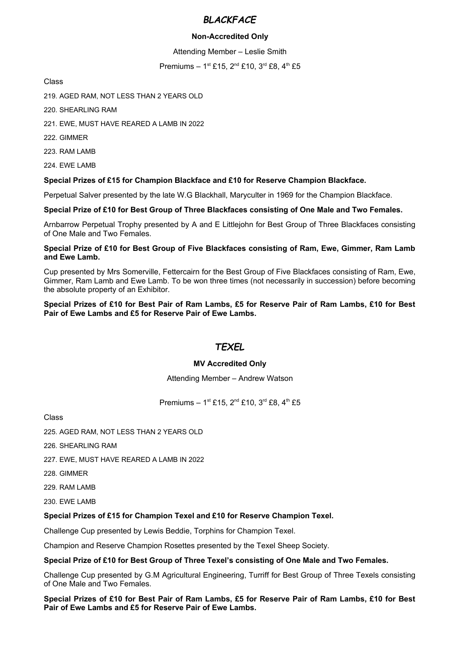#### *BLACKFACE*

#### **Non-Accredited Only**

Attending Member – Leslie Smith

Premiums - 1st £15, 2<sup>nd</sup> £10, 3<sup>rd</sup> £8, 4<sup>th</sup> £5

Class

219. AGED RAM, NOT LESS THAN 2 YEARS OLD

220. SHEARLING RAM

221. EWE, MUST HAVE REARED A LAMB IN 2022

222. GIMMER

223. RAM LAMB

224. EWE LAMB

#### **Special Prizes of £15 for Champion Blackface and £10 for Reserve Champion Blackface.**

Perpetual Salver presented by the late W.G Blackhall, Maryculter in 1969 for the Champion Blackface.

#### **Special Prize of £10 for Best Group of Three Blackfaces consisting of One Male and Two Females.**

Arnbarrow Perpetual Trophy presented by A and E Littlejohn for Best Group of Three Blackfaces consisting of One Male and Two Females.

#### **Special Prize of £10 for Best Group of Five Blackfaces consisting of Ram, Ewe, Gimmer, Ram Lamb and Ewe Lamb.**

Cup presented by Mrs Somerville, Fettercairn for the Best Group of Five Blackfaces consisting of Ram, Ewe, Gimmer, Ram Lamb and Ewe Lamb. To be won three times (not necessarily in succession) before becoming the absolute property of an Exhibitor.

#### **Special Prizes of £10 for Best Pair of Ram Lambs, £5 for Reserve Pair of Ram Lambs, £10 for Best Pair of Ewe Lambs and £5 for Reserve Pair of Ewe Lambs.**

#### *TEXEL*

#### **MV Accredited Only**

Attending Member – Andrew Watson

Premiums – 1st £15, 2<sup>nd</sup> £10, 3<sup>rd</sup> £8, 4<sup>th</sup> £5

Class

225. AGED RAM, NOT LESS THAN 2 YEARS OLD

226. SHEARLING RAM

227. EWE, MUST HAVE REARED A LAMB IN 2022

228. GIMMER

229. RAM LAMB

230. EWE LAMB

#### **Special Prizes of £15 for Champion Texel and £10 for Reserve Champion Texel.**

Challenge Cup presented by Lewis Beddie, Torphins for Champion Texel.

Champion and Reserve Champion Rosettes presented by the Texel Sheep Society.

#### **Special Prize of £10 for Best Group of Three Texel's consisting of One Male and Two Females.**

Challenge Cup presented by G.M Agricultural Engineering, Turriff for Best Group of Three Texels consisting of One Male and Two Females.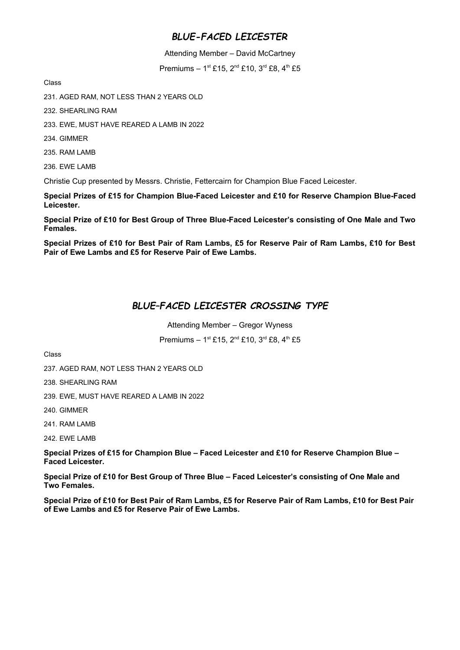## *BLUE-FACED LEICESTER*

Attending Member – David McCartney

Premiums –  $1^{st}$  £15,  $2^{nd}$  £10,  $3^{rd}$  £8,  $4^{th}$  £5

Class

231. AGED RAM, NOT LESS THAN 2 YEARS OLD

232. SHEARLING RAM

233. EWE, MUST HAVE REARED A LAMB IN 2022

234. GIMMER

235. RAM LAMB

236. EWE LAMB

Christie Cup presented by Messrs. Christie, Fettercairn for Champion Blue Faced Leicester.

**Special Prizes of £15 for Champion Blue-Faced Leicester and £10 for Reserve Champion Blue-Faced Leicester.**

**Special Prize of £10 for Best Group of Three Blue-Faced Leicester's consisting of One Male and Two Females.**

**Special Prizes of £10 for Best Pair of Ram Lambs, £5 for Reserve Pair of Ram Lambs, £10 for Best Pair of Ewe Lambs and £5 for Reserve Pair of Ewe Lambs.** 

## *BLUE–FACED LEICESTER CROSSING TYPE*

Attending Member – Gregor Wyness

Premiums – 1<sup>st</sup> £15, 2<sup>nd</sup> £10, 3<sup>rd</sup> £8, 4<sup>th</sup> £5

Class

237. AGED RAM, NOT LESS THAN 2 YEARS OLD

238. SHEARLING RAM

239. EWE, MUST HAVE REARED A LAMB IN 2022

240. GIMMER

241. RAM LAMB

242. EWE LAMB

**Special Prizes of £15 for Champion Blue – Faced Leicester and £10 for Reserve Champion Blue – Faced Leicester.**

**Special Prize of £10 for Best Group of Three Blue – Faced Leicester's consisting of One Male and Two Females.**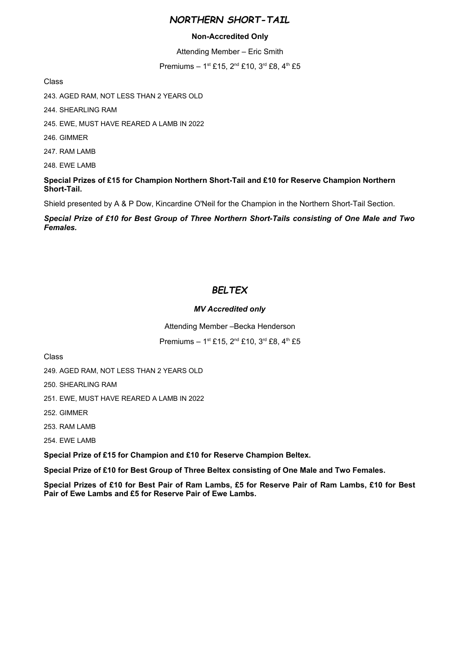#### *NORTHERN SHORT-TAIL*

#### **Non-Accredited Only**

Attending Member – Eric Smith

Premiums – 1st £15, 2<sup>nd</sup> £10, 3<sup>rd</sup> £8, 4<sup>th</sup> £5

Class

243. AGED RAM, NOT LESS THAN 2 YEARS OLD

244. SHEARLING RAM

245. EWE, MUST HAVE REARED A LAMB IN 2022

246. GIMMER

247. RAM LAMB

248. EWE LAMB

#### **Special Prizes of £15 for Champion Northern Short-Tail and £10 for Reserve Champion Northern Short-Tail.**

Shield presented by A & P Dow, Kincardine O'Neil for the Champion in the Northern Short-Tail Section.

*Special Prize of £10 for Best Group of Three Northern Short-Tails consisting of One Male and Two Females.*

## *BELTEX*

#### *MV Accredited only*

Attending Member –Becka Henderson

Premiums – 1st £15, 2<sup>nd</sup> £10, 3<sup>rd</sup> £8, 4<sup>th</sup> £5

Class

249. AGED RAM, NOT LESS THAN 2 YEARS OLD

250. SHEARLING RAM

251. EWE, MUST HAVE REARED A LAMB IN 2022

252. GIMMER

253. RAM LAMB

254. EWE LAMB

**Special Prize of £15 for Champion and £10 for Reserve Champion Beltex.**

**Special Prize of £10 for Best Group of Three Beltex consisting of One Male and Two Females.**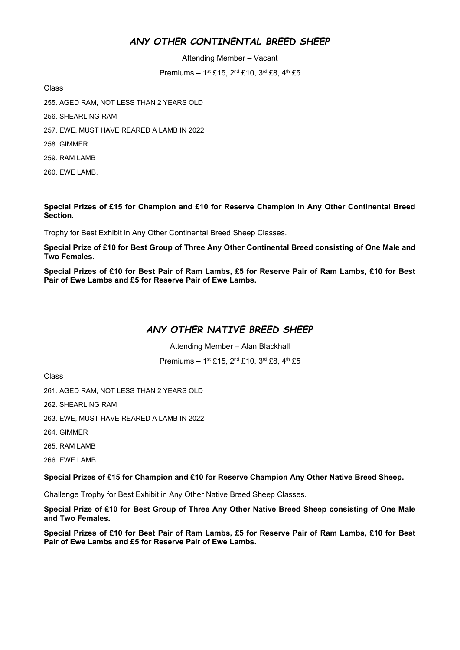## *ANY OTHER CONTINENTAL BREED SHEEP*

Attending Member – Vacant

Premiums – 1st £15, 2<sup>nd</sup> £10, 3<sup>rd</sup> £8, 4<sup>th</sup> £5

Class

- 255. AGED RAM, NOT LESS THAN 2 YEARS OLD
- 256. SHEARLING RAM
- 257. EWE, MUST HAVE REARED A LAMB IN 2022
- 258. GIMMER
- 259. RAM LAMB
- 260. EWE LAMB.

#### **Special Prizes of £15 for Champion and £10 for Reserve Champion in Any Other Continental Breed Section.**

Trophy for Best Exhibit in Any Other Continental Breed Sheep Classes.

**Special Prize of £10 for Best Group of Three Any Other Continental Breed consisting of One Male and Two Females.**

**Special Prizes of £10 for Best Pair of Ram Lambs, £5 for Reserve Pair of Ram Lambs, £10 for Best Pair of Ewe Lambs and £5 for Reserve Pair of Ewe Lambs.**

#### *ANY OTHER NATIVE BREED SHEEP*

Attending Member – Alan Blackhall

Premiums – 1st £15, 2<sup>nd</sup> £10, 3<sup>rd</sup> £8, 4<sup>th</sup> £5

Class

261. AGED RAM, NOT LESS THAN 2 YEARS OLD

262. SHEARLING RAM

263. EWE, MUST HAVE REARED A LAMB IN 2022

264. GIMMER

265. RAM LAMB

266. EWE LAMB.

**Special Prizes of £15 for Champion and £10 for Reserve Champion Any Other Native Breed Sheep.**

Challenge Trophy for Best Exhibit in Any Other Native Breed Sheep Classes.

**Special Prize of £10 for Best Group of Three Any Other Native Breed Sheep consisting of One Male and Two Females.**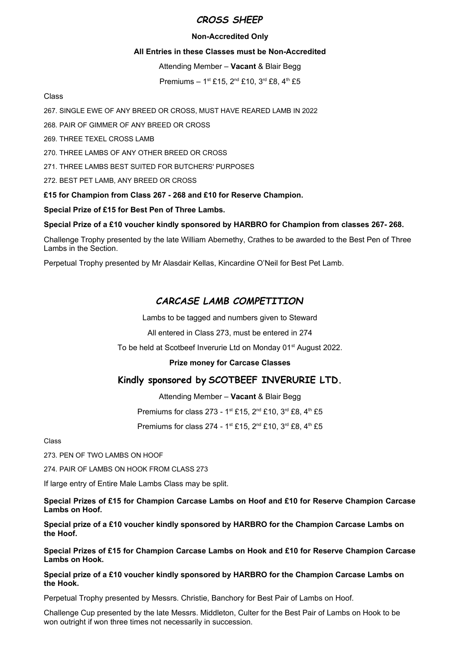#### *CROSS SHEEP*

#### **Non-Accredited Only**

#### **All Entries in these Classes must be Non-Accredited**

Attending Member – **Vacant** & Blair Begg

Premiums –  $1^{st}$  £15,  $2^{nd}$  £10,  $3^{rd}$  £8,  $4^{th}$  £5

#### Class

267. SINGLE EWE OF ANY BREED OR CROSS, MUST HAVE REARED LAMB IN 2022

268. PAIR OF GIMMER OF ANY BREED OR CROSS

269. THREE TEXEL CROSS LAMB

270. THREE LAMBS OF ANY OTHER BREED OR CROSS

271. THREE LAMBS BEST SUITED FOR BUTCHERS' PURPOSES

272. BEST PET LAMB, ANY BREED OR CROSS

#### **£15 for Champion from Class 267 - 268 and £10 for Reserve Champion.**

#### **Special Prize of £15 for Best Pen of Three Lambs.**

#### **Special Prize of a £10 voucher kindly sponsored by HARBRO for Champion from classes 267- 268.**

Challenge Trophy presented by the late William Abernethy, Crathes to be awarded to the Best Pen of Three Lambs in the Section.

Perpetual Trophy presented by Mr Alasdair Kellas, Kincardine O'Neil for Best Pet Lamb.

## *CARCASE LAMB COMPETITION*

Lambs to be tagged and numbers given to Steward

All entered in Class 273, must be entered in 274

To be held at Scotbeef Inverurie Ltd on Monday 01<sup>st</sup> August 2022.

#### **Prize money for Carcase Classes**

#### **Kindly sponsored by SCOTBEEF INVERURIE LTD.**

Attending Member – **Vacant** & Blair Begg

Premiums for class 273 - 1<sup>st</sup> £15, 2<sup>nd</sup> £10, 3<sup>rd</sup> £8, 4<sup>th</sup> £5

Premiums for class 274 - 1st £15, 2<sup>nd</sup> £10, 3<sup>rd</sup> £8, 4<sup>th</sup> £5

#### Class

273. PEN OF TWO LAMBS ON HOOF

274. PAIR OF LAMBS ON HOOK FROM CLASS 273

If large entry of Entire Male Lambs Class may be split.

**Special Prizes of £15 for Champion Carcase Lambs on Hoof and £10 for Reserve Champion Carcase Lambs on Hoof.**

**Special prize of a £10 voucher kindly sponsored by HARBRO for the Champion Carcase Lambs on the Hoof.** 

**Special Prizes of £15 for Champion Carcase Lambs on Hook and £10 for Reserve Champion Carcase Lambs on Hook.**

**Special prize of a £10 voucher kindly sponsored by HARBRO for the Champion Carcase Lambs on the Hook.** 

Perpetual Trophy presented by Messrs. Christie, Banchory for Best Pair of Lambs on Hoof.

Challenge Cup presented by the late Messrs. Middleton, Culter for the Best Pair of Lambs on Hook to be won outright if won three times not necessarily in succession.